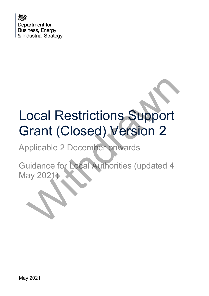

# Local Restrictions Support Grant (Closed) Version 2 ocal Restrictions Support<br>
Frant (Closed) Version 2<br>
pplicable 2 December onwards<br>
uidance for Local Authorities (updated 4<br>
ay 2021)

Applicable 2 December onwards

Guidance for Local Authorities (updated 4 May 2021)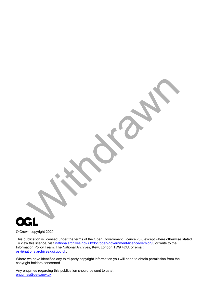

© Crown copyright 2020

This publication is licensed under the terms of the Open Government Licence v3.0 except where otherwise stated. To view this licence, visit [nationalarchives.gov.uk/doc/open-government-licence/version/3](http://nationalarchives.gov.uk/doc/open-government-licence/version/3/) or write to the Information Policy Team, The National Archives, Kew, London TW9 4DU, or email: [psi@nationalarchives.gsi.gov.uk.](mailto:psi@nationalarchives.gsi.gov.uk)

Where we have identified any third-party copyright information you will need to obtain permission from the copyright holders concerned.

Any enquiries regarding this publication should be sent to us at: [enquiries@beis.gov.uk](mailto:enquiries@beis.gov.uk)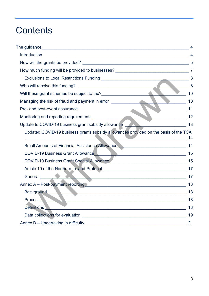# **Contents**

|                                                                                                                                                                                                                                                                                                                                    | $\overline{4}$ |
|------------------------------------------------------------------------------------------------------------------------------------------------------------------------------------------------------------------------------------------------------------------------------------------------------------------------------------|----------------|
|                                                                                                                                                                                                                                                                                                                                    | 5              |
|                                                                                                                                                                                                                                                                                                                                    |                |
|                                                                                                                                                                                                                                                                                                                                    | 8              |
|                                                                                                                                                                                                                                                                                                                                    |                |
|                                                                                                                                                                                                                                                                                                                                    | 10             |
| Managing the risk of fraud and payment in error ________________________________                                                                                                                                                                                                                                                   | 10             |
| Pre- and post-event assurance                                                                                                                                                                                                                                                                                                      | 11             |
|                                                                                                                                                                                                                                                                                                                                    | 12             |
| Update to COVID-19 business grant subsidy allowance Marin Marian Marian 13                                                                                                                                                                                                                                                         |                |
| Updated COVID-19 business grants subsidy allowances provided on the basis of the TCA<br>$\overline{\phantom{a}}$ . The contract of the contract of the contract of the contract of the contract of the contract of the contract of the contract of the contract of the contract of the contract of the contract of the contract of | 14             |
| <b>Small Amounts of Financial Assistance Allowance</b><br><u>.</u>                                                                                                                                                                                                                                                                 | 14             |
| COVID-19 Business Grant Allowance                                                                                                                                                                                                                                                                                                  |                |
| COVID-19 Business Grant Special Allowance                                                                                                                                                                                                                                                                                          | 15             |
|                                                                                                                                                                                                                                                                                                                                    |                |
| General <b>Contract of the Contract of Contract of the Contract of Contract of Contract of Contract of Contract of Contract of Contract of Contract of Contract of Contract of Contract of Contract of Contract of Contract of C</b>                                                                                               | 17             |
| Annex A - Post-payment reporting > The Context Context Context Context Context Context Context Context Context                                                                                                                                                                                                                     | 18             |
| <b>Background</b><br>$\blacktriangledown$ and the contract of the contract of the contract of the contract of the contract of the contract of the contract of the contract of the contract of the contract of the contract of the contract of the contract of t                                                                    | 18             |
| <b>Process</b>                                                                                                                                                                                                                                                                                                                     | 18             |
| Definitions                                                                                                                                                                                                                                                                                                                        | 18             |
|                                                                                                                                                                                                                                                                                                                                    | 19             |
|                                                                                                                                                                                                                                                                                                                                    | 21             |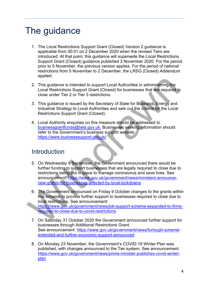## <span id="page-3-0"></span>The guidance

- 1. The Local Restrictions Support Grant (Closed) Version 2 guidance is applicable from 00:01 on 2 December 2020 when the revised Tiers are introduced. At that point, this guidance will supersede the Local Restrictions Support Grant (Closed) guidance published 3 November 2020. For the period prior to 5 November, the previous version applies. For the period of national restrictions from 5 November to 2 December, the LRSG (Closed) Addendum applied.
- 2. This guidance is intended to support Local Authorities in administering the Local Restrictions Support Grant (Closed) for businesses that are required to close under Tier 2 or Tier 3 restrictions.
- 3. This guidance is issued by the Secretary of State for Business, Energy and Industrial Strategy to Local Authorities and sets out the criteria for the Local Restrictions Support Grant (Closed).
- 4. Local Authority enquiries on this measure should be addressed to businessgrantfunds@beis.gov.uk. Businesses seeking information should refer to the Government's business support website: https://www.businesssupport.gov.uk/

## <span id="page-3-1"></span>Introduction

- 5. On Wednesday 9 September, the Government announced there would be further funding to support businesses that are legally required to close due to restrictions being put in place to manage coronavirus and save lives. See announcement: https://www.gov.uk/government/news/ministers-announcenew-grants-for-businesses-affected-by-local-lockdowns 2. This guidance is intended to support Local Authorities in administering the<br>
Local Restrictions Support Grant (Closed) for businesses that are required to<br>
close under Tier 2 or Tier 3 restrictions.<br>
3. This guidance is
	- 6. The Government announced on Friday 9 October changes to the grants within this scheme to provide further support to businesses required to close due to local restrictions. See announcement: https://www.gov.uk/government/news/job-support-scheme-expanded-to-firmsrequired-to-close-due-to-covid-restrictions
	- 7. On Saturday 31 October 2020 the Government announced further support for businesses through Additional Restrictions Grant. See announcement: [https://www.gov.uk/government/news/furlough-scheme](https://www.gov.uk/government/news/furlough-scheme-extended-and-further-economic-support-announced)[extended-and-further-economic-support-announced](https://www.gov.uk/government/news/furlough-scheme-extended-and-further-economic-support-announced)
	- 8. On Monday 23 November, the Government's COVID-19 Winter Plan was published, with changes announced to the Tier system. See announcement: [https://www.gov.uk/government/news/prime-minister-publishes-covid-winter](https://www.gov.uk/government/news/prime-minister-publishes-covid-winter-plan)[plan](https://www.gov.uk/government/news/prime-minister-publishes-covid-winter-plan)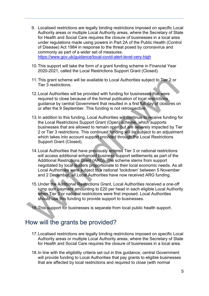- 9. Localised restrictions are legally binding restrictions imposed on specific Local Authority areas or multiple Local Authority areas, where the Secretary of State for Health and Social Care requires the closure of businesses in a local area under regulations made using powers in Part 2A of the Public Health (Control of Disease) Act 1984 in response to the threat posed by coronavirus and commonly as part of a wider set of measures. <https://www.gov.uk/guidance/local-covid-alert-level-very-high>
- 10.This support will take the form of a grant funding scheme in Financial Year 2020-2021, called the Local Restrictions Support Grant (Closed).
- 11.This grant scheme will be available to Local Authorities subject to Tier 2 or Tier 3 restrictions.
- 12.Local Authorities will be provided with funding for businesses that were required to close because of the formal publication of local restrictions guidance by central Government that resulted in a first full day of closures on or after the 9 September. This funding is not retrospective.
- 13.In addition to this funding, Local Authorities will continue to receive funding for the Local Restrictions Support Grant (Open) scheme, which supports businesses that are allowed to remain open but are severely impacted by Tier 2 or Tier 3 restrictions. This continued funding will be subject to an adjustment which takes into account support provided through the Local Restrictions Support Grant (Closed).
- 14.Local Authorities that have previously entered Tier 3 or national restrictions will access additional enhanced business support settlements as part of the Additional Restrictions Grant (ARG). The scheme stems from support negotiated by local leaders proportionate to their local economic needs. As all Local Authorities were subject to a national 'lockdown' between 5 November and 2 December, all Local Authorities have now received ARG funding. 11. This grant scheme will be available to Local Authorities subject to Tier 2 or<br>Tier 3 restrictions.<br>
12. Local Authorities will be provided with funding for businesses that were<br>
required to close because of the formal
	- 15.Under the Additional Restrictions Grant, Local Authorities received a one-off lump sum payment amounting to £20 per head in each eligible Local Authority when Tier 3 or national restrictions were first imposed. Local Authorities should use this funding to provide support to businesses.

16.This support for businesses is separate from local public health support.

## <span id="page-4-0"></span>How will the grants be provided?

- 17.Localised restrictions are legally binding restrictions imposed on specific Local Authority areas or multiple Local Authority areas, where the Secretary of State for Health and Social Care requires the closure of businesses in a local area.
- 18. In line with the eligibility criteria set out in this guidance, central Government will provide funding to Local Authorities that pay grants to eligible businesses that are affected by local restrictions and required to close (with normal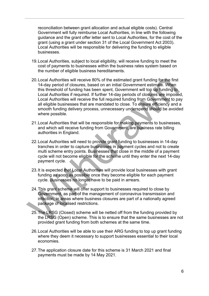reconciliation between grant allocation and actual eligible costs). Central Government will fully reimburse Local Authorities, in line with the following guidance and the grant offer letter sent to Local Authorities, for the cost of the grant (using a grant under section 31 of the Local Government Act 2003). Local Authorities will be responsible for delivering the funding to eligible businesses.

- 19.Local Authorities, subject to local eligibility, will receive funding to meet the cost of payments to businesses within the business rates system based on the number of eligible business hereditaments.
- 20.Local Authorities will receive 80% of the estimated grant funding for the first 14-day period of closures, based on an initial Government estimate. When this threshold of funding has been spent, Government will top up funding to Local Authorities if required. If further 14-day periods of closures are imposed, Local Authorities will receive the full required funding from Government to pay all eligible businesses that are mandated to close. To ensure efficiency and a smooth funding delivery process, unnecessary underspend should be avoided where possible. 20. Local Authorities will receive 80% of the estimated grant funding for the first<br>14-day period of closures, based on an initial Government estimate. When<br>this threshold of funding has been spent, Government will top upd
	- 21.Local Authorities that will be responsible for making payments to businesses, and which will receive funding from Government, are business rate billing authorities in England.
	- 22.Local Authorities will need to provide grant funding to businesses in 14-day tranches in order to capture businesses in payment cycles and not to create multi scheme entry points. Businesses that close in the middle of a payment cycle will not become eligible for the scheme until they enter the next 14-day payment cycle.
	- 23. It is expected that Local Authorities will provide local businesses with grant funding as soon as possible once they become eligible for each payment cycle. Businesses no longer have to be paid in arrears.
	- 24.This grant scheme will offer support to businesses required to close by Government, as part of the management of coronavirus transmission and infection, in areas where business closures are part of a nationally agreed package of localised restrictions.
	- 25. The LRSG (Closed) scheme will be netted off from the funding provided by the LRSG (Open) scheme. This is to ensure that the same businesses are not provided grant funding from both schemes at the same time.
	- 26.Local Authorities will be able to use their ARG funding to top up grant funding where they deem it necessary to support businesses essential to their local economies.
	- 27.The application closure date for this scheme is 31 March 2021 and final payments must be made by 14 May 2021.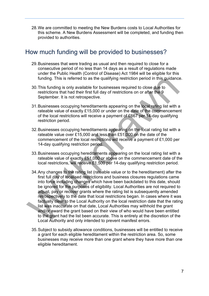28.We are committed to meeting the New Burdens costs to Local Authorities for this scheme. A New Burdens Assessment will be completed, and funding then provided to authorities.

## <span id="page-6-0"></span>How much funding will be provided to businesses?

- 29.Businesses that were trading as usual and then required to close for a consecutive period of no less than 14 days as a result of regulations made under the Public Health (Control of Disease) Act 1984 will be eligible for this funding. This is referred to as the qualifying restriction period in this guidance.
- 30.This funding is only available for businesses required to close due to restrictions that had their first full day of restrictions on or after the 9 September. It is not retrospective.
- 31.Businesses occupying hereditaments appearing on the local rating list with a rateable value of exactly £15,000 or under on the date of the commencement of the local restrictions will receive a payment of £667 per 14-day qualifying restriction period.
- 32.Businesses occupying hereditaments appearing on the local rating list with a rateable value over £15,000 and less than £51,000 on the date of the commencement of the local restrictions will receive a payment of £1,000 per 14-day qualifying restriction period.
- 33.Businesses occupying hereditaments appearing on the local rating list with a rateable value of exactly £51,000 or above on the commencement date of the local restrictions, will receive £1,500 per 14-day qualifying restriction period.
- 34.Any changes to the rating list (rateable value or to the hereditament) after the first full day of localised restrictions and business closures regulations came into force including changes which have been backdated to this date, should be ignored for the purposes of eligibility. Local Authorities are not required to adjust, pay or recover grants where the rating list is subsequently amended retrospectively to the date that local restrictions began. In cases where it was factually clear to the Local Authority on the local restriction date that the rating list was inaccurate on that date, Local Authorities may withhold the grant and/or award the grant based on their view of who would have been entitled to the grant had the list been accurate. This is entirely at the discretion of the Local Authority and only intended to prevent manifest errors. funding. This is referred to as the qualifying restriction period in this guidance<br>30. This funding is only available for businesses required to close due to<br>restrictions that had their first full day of restrictions on o
	- 35.Subject to subsidy allowance conditions, businesses will be entitled to receive a grant for each eligible hereditament within the restriction area. So, some businesses may receive more than one grant where they have more than one eligible hereditament.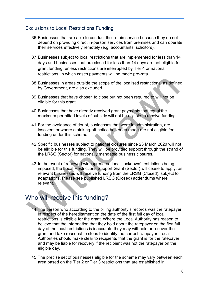#### <span id="page-7-0"></span>Exclusions to Local Restrictions Funding

- 36.Businesses that are able to conduct their main service because they do not depend on providing direct in-person services from premises and can operate their services effectively remotely (e.g. accountants, solicitors).
- 37.Businesses subject to local restrictions that are implemented for less than 14 days and businesses that are closed for less than 14 days are not eligible for grant funding, unless restrictions are interrupted by Tier 4 or national restrictions, in which cases payments will be made pro-rata.
- 38.Businesses in areas outside the scope of the localised restrictions, as defined by Government, are also excluded.
- 39.Businesses that have chosen to close but not been required to will not be eligible for this grant.
- 40.Businesses that have already received grant payments that equal the maximum permitted levels of subsidy will not be eligible to receive funding.
- 41.For the avoidance of doubt, businesses that were in administration, are insolvent or where a striking-off notice has been made are not eligible for funding under this scheme.
- 42.Specific businesses subject to national closures since 23 March 2020 will not be eligible for this funding. They will be provided support through the strand of the LRSG (Sector) for nationally mandated business closures.
- 43.In the event of renewed widespread national 'lockdown' restrictions being imposed, the Local Restrictions Support Grant (Sector) will cease to apply, as relevant businesses will receive funding from the LRSG (Closed), subject to adaptations. Please see published LRSG (Closed) addendums where relevant. 38. Businesses in areas outside the scope of the localised restrictions, as define<br>by Government, are also excluded.<br>39. Businesses that have chosen to close but not been required to will rot be<br>digible for this grant.<br>40.

## <span id="page-7-1"></span>Who will receive this funding?

- 44. The person who according to the billing authority's records was the ratepayer in respect of the hereditament on the date of the first full day of local restrictions is eligible for the grant. Where the Local Authority has reason to believe that the information that they hold about the ratepayer on the first full day of the local restrictions is inaccurate they may withhold or recover the grant and take reasonable steps to identify the correct ratepayer. Local Authorities should make clear to recipients that the grant is for the ratepayer and may be liable for recovery if the recipient was not the ratepayer on the eligible day.
- 45.The precise set of businesses eligible for the scheme may vary between each area based on the Tier 2 or Tier 3 restrictions that are established in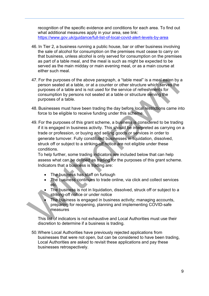recognition of the specific evidence and conditions for each area. To find out what additional measures apply in your area, see link: <https://www.gov.uk/guidance/full-list-of-local-covid-alert-levels-by-area>

- 46. In Tier 2, a business running a public house, bar or other business involving the sale of alcohol for consumption on the premises must cease to carry on that business, unless alcohol is only served for consumption on the premises as part of a table meal, and the meal is such as might be expected to be served as the main midday or main evening meal, or as a main course at either such meal.
- 47. For the purposes of the above paragraph, a "table meal" is a meal eaten by a person seated at a table, or at a counter or other structure which serves the purposes of a table and is not used for the service of refreshments for consumption by persons not seated at a table or structure serving the purposes of a table.
- 48. Businesses must have been trading the day before local restrictions came into force to be eligible to receive funding under this scheme.
- 49. For the purposes of this grant scheme, a business is considered to be trading if it is engaged in business activity. This should be interpreted as carrying on a trade or profession, or buying and selling goods or services in order to generate turnover. Fully constituted businesses in liquidation, dissolved, struck off or subject to a striking-off notice are not eligible under these conditions. 47. For the purposes of the above paragraph, a "table meal" is a meal eaten by<br>person seated at a table, or at a counter or there structure which serves the<br>consumption by persons not seated at a table or structure serving

To help further, some trading indicators are included below that can help assess what can be defined as trading for the purposes of this grant scheme. Indicators that a business is trading are:

- The business has staff on furlough
- The business continues to trade online, via click and collect services etc.
- The business is not in liquidation, dissolved, struck off or subject to a striking-off notice or under notice
- The business is engaged in business activity; managing accounts, preparing for reopening, planning and implementing COVID-safe measures

This list of indicators is not exhaustive and Local Authorities must use their discretion to determine if a business is trading.

50.Where Local Authorities have previously rejected applications from businesses that were not open, but can be considered to have been trading, Local Authorities are asked to revisit these applications and pay these businesses retrospectively.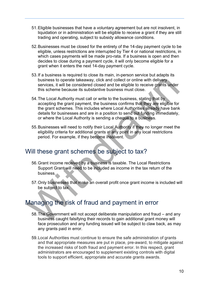- 51.Eligible businesses that have a voluntary agreement but are not insolvent, in liquidation or in administration will be eligible to receive a grant if they are still trading and operating, subject to subsidy allowance conditions.
- 52.Businesses must be closed for the entirety of the 14-day payment cycle to be eligible, unless restrictions are interrupted by Tier 4 or national restrictions, in which cases payments will be made pro-rata. If a business is open and then decides to close during a payment cycle, it will only become eligible for a grant when it enters the next 14-day payment cycle.
- 53.If a business is required to close its main, in-person service but adapts its business to operate takeaway, click and collect or online with delivery services, it will be considered closed and be eligible to receive grants under this scheme because its substantive business must close.
- 54.The Local Authority must call or write to the business, stating that by accepting the grant payment, the business confirms that they are eligible for the grant schemes. This includes where Local Authorities already have bank details for businesses and are in a position to send out funding immediately, or where the Local Authority is sending a cheque to a business. business to operate takeaway, click and collect or online with delivery<br>services, it will be considered closed and be eligible to receive grants under<br>this scheme because its substantive business must close.<br>54. The Local
	- 55.Businesses will need to notify their Local Authority if they no longer meet the eligibility criteria for additional grants at any point in any local restrictions period. For example, if they become insolvent.

## <span id="page-9-0"></span>Will these grant schemes be subject to tax?

- 56.Grant income received by a business is taxable. The Local Restrictions Support Grant will need to be included as income in the tax return of the business.
- 57.Only businesses that make an overall profit once grant income is included will be subject to tax.

## <span id="page-9-1"></span>Managing the risk of fraud and payment in error

- 58.The Government will not accept deliberate manipulation and fraud and any business caught falsifying their records to gain additional grant money will face prosecution and any funding issued will be subject to claw back, as may any grants paid in error.
- 59.Local Authorities must continue to ensure the safe administration of grants and that appropriate measures are put in place, pre-award, to mitigate against the increased risks of both fraud and payment error. In this respect, grant administrators are encouraged to supplement existing controls with digital tools to support efficient, appropriate and accurate grants awards.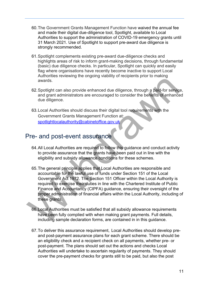- 60.The Government Grants Management Function have waived the annual fee and made their digital due-diligence tool, Spotlight, available to Local Authorities to support the administration of COVID-19 emergency grants until 31 March 2021. Use of Spotlight to support pre-award due diligence is strongly recommended.
- 61.Spotlight complements existing pre-award due-diligence checks and highlights areas of risk to inform grant-making decisions, through fundamental (basic) due diligence checks. In particular, Spotlight can quickly and easily flag where organisations have recently become inactive to support Local Authorities reviewing the ongoing viability of recipients prior to making awards.
- 62.Spotlight can also provide enhanced due diligence, through a paid-for service, and grant administrators are encouraged to consider the benefits of enhanced due diligence.
- 63.Local Authorities should discuss their digital tool requirements with the Government Grants Management Function at: spotlightlocalauthority@cabinetoffice.gov.uk

## <span id="page-10-0"></span>Pre- and post-event assurance

- 64.All Local Authorities are required to follow this guidance and conduct activity to provide assurance that the grants have been paid out in line with the eligibility and subsidy allowance conditions for these schemes.
- 65.The general principle applies that Local Authorities are responsible and accountable for the lawful use of funds under Section 151 of the Local Government Act 1972. The Section 151 Officer within the Local Authority is required to exercise their duties in line with the Chartered Institute of Public Finance and Accountancy (CIPFA) guidance, ensuring their oversight of the proper administration of financial affairs within the Local Authority, including of these grants. Numering and only of the digital conside[ra](mailto:spotlightlocalauthority@cabinetoffice.gov.uk)tion of the state of the state of the state of the state of the state of the state of the Security of Covernment Grants Management Function at Covernment Grants Management Function
	- 66.Local Authorities must be satisfied that all subsidy allowance requirements have been fully complied with when making grant payments. Full details, including sample declaration forms, are contained in in this guidance.
	- 67.To deliver this assurance requirement, Local Authorities should develop preand post-payment assurance plans for each grant scheme. There should be an eligibility check and a recipient check on all payments, whether pre- or post-payment. The plans should set out the actions and checks Local Authorities will undertake to ascertain regularity of payments. They should cover the pre-payment checks for grants still to be paid, but also the post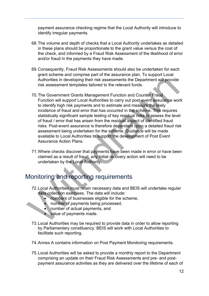payment assurance checking regime that the Local Authority will introduce to identify irregular payments.

- 68.The volume and depth of checks that a Local Authority undertakes as detailed in these plans should be proportionate to the grant value versus the cost of the check, and informed by a Fraud Risk Assessment of the likelihood of error and/or fraud in the payments they have made.
- 69.Consequently, Fraud Risk Assessments should also be undertaken for each grant scheme and comprise part of the assurance plan. To support Local Authorities in developing their risk assessments the Department will provide risk assessment templates tailored to the relevant funds.
- 70.The Government Grants Management Function and Counter Fraud Function will support Local Authorities to carry out post-event assurance work to identify high risk payments and to estimate and measure the likely incidence of fraud and error that has occurred in the scheme. This requires statistically significant sample testing of key residual risks to assess the level of fraud / error that has arisen from the residual aspect of identified fraud risks. Post-event assurance is therefore dependent upon a detailed fraud risk assessment being undertaken for the scheme. Guidance will be made available to Local Authorities to support the development of Post Event Assurance Action Plans. Authorities in developing their risk assessments the Department will provide<br>
risk assessment templates tailored to the relevant funds.<br>
TO. The Government Grants Maragement Fundion and Counter Fraud<br>
Function will support
	- 71.Where checks discover that payments have been made in error or have been claimed as a result of fraud, any initial recovery action will need to be undertaken by the Local Authority.

## <span id="page-11-0"></span>Monitoring and reporting requirements

- 72.Local Authorities must retain necessary data and BEIS will undertake regular data collection exercises. The data will include:
	- numbers of businesses eligible for the scheme,
	- number of payments being processed,
	- number of actual payments, and
	- value of payments made.
- 73.Local Authorities may be required to provide data in order to allow reporting by Parliamentary constituency. BEIS will work with Local Authorities to facilitate such reporting.
- 74.Annex A contains information on Post Payment Monitoring requirements.
- 75.Local Authorities will be asked to provide a monthly report to the Department comprising an update on their Fraud Risk Assessments and pre- and postpayment assurance activities as they are delivered over the lifetime of each of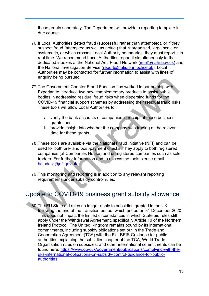these grants separately. The Department will provide a reporting template in due course.

- 76.If Local Authorities detect fraud (successful rather than attempted), or if they suspect fraud (attempted as well as actual) that is organised, large scale or systematic, or which crosses Local Authority boundaries, they must report it in real time. We recommend Local Authorities report it simultaneously to the dedicated inboxes at the National Anti Fraud Network [\(intel@nafn.gov.uk\)](mailto:intel@nafn.gov.uk) and the National Investigation Service [\(report@natis.pnn.police.uk\)](mailto:report@natis.pnn.police.uk). Local Authorities may be contacted for further information to assist with lines of enquiry being pursued.
- 77.The Government Counter Fraud Function has worked in partnership with Experian to introduce two new complementary products to assist public bodies in addressing residual fraud risks when dispersing funds for the COVID-19 financial support schemes by addressing their residual fraud risks. These tools will allow Local Authorities to:
	- a. verify the bank accounts of companies in receipt of these business grants; and
	- b. provide insight into whether the company was trading at the relevant date for these grants.
- 78.These tools are available via the National Fraud Initiative (NFI) and can be used for both pre- and post-payment checks. They apply to both registered companies (at Companies House) and unregistered companies such as sole traders. For further information and to access the tools please email helpdesk@nfi.gov.uk enquiry being pursued.<br>
The Governmet Counter Fraud Function has worked in partnership wi[th](mailto:helpdesk@nfi.gov.uk)<br>
Experiment controduce two new complementary products to assist public<br>
bodies in addressing residual fraud risks when dispersing
	- 79.This monitoring and reporting is in addition to any relevant reporting requirements under subsidy control rules.

## <span id="page-12-0"></span>Update to COVID-19 business grant subsidy allowance

80.The EU State aid rules no longer apply to subsidies granted in the UK following the end of the transition period, which ended on 31 December 2020. This does not impact the limited circumstances in which State aid rules still apply under the Withdrawal Agreement, specifically Article 10 of the Northern Ireland Protocol. The United Kingdom remains bound by its international commitments, including subsidy obligations set out in the Trade and Cooperation Agreement (TCA) with the EU. BEIS Guidance for public authorities explaining the subsidies chapter of the TCA, World Trade Organisation rules on subsidies, and other international commitments can be found here: [https://www.gov.uk/government/publications/complying-with-the](https://www.gov.uk/government/publications/complying-with-the-uks-international-obligations-on-subsidy-control-guidance-for-public-authorities)[uks-international-obligations-on-subsidy-control-guidance-for-public](https://www.gov.uk/government/publications/complying-with-the-uks-international-obligations-on-subsidy-control-guidance-for-public-authorities)[authorities](https://www.gov.uk/government/publications/complying-with-the-uks-international-obligations-on-subsidy-control-guidance-for-public-authorities)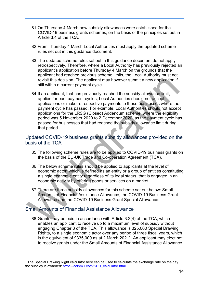- 81.On Thursday 4 March new subsidy allowances were established for the COVID-19 business grants schemes, on the basis of the principles set out in Article 3.4 of the TCA.
- 82.From Thursday 4 March Local Authorities must apply the updated scheme rules set out in this guidance document.
- 83.The updated scheme rules set out in this guidance document do not apply retrospectively. Therefore, where a Local Authority has previously rejected an applicant's application before Thursday 4 March on the grounds that the applicant had reached previous scheme limits, the Local Authority must not revisit this decision. The applicant may however submit a new application if still within a current payment cycle.
- 84.If an applicant, that has previously reached the subsidy allowance limit, applies for past payment cycles, Local Authorities should not accept applications or make retrospective payments to those businesses where the payment cycle has passed. For example, Local Authorities should not accept applications for the LRSG (Closed) Addendum scheme, where the eligibility period was 5 November 2020 to 2 December 2020, as the payment cycle has passed for businesses that had reached the subsidy allowance limit during that period. revisit this decision. The applicant may however submit a new application if<br>still within a current payment cycle,<br>84. If an application at that has previously reached the subsidy allowance limit,<br>applies for past payment

#### <span id="page-13-0"></span>Updated COVID-19 business grants subsidy allowances provided on the basis of the TCA

- 85.The following scheme rules are to be applied to COVID-19 business grants on the basis of the EU-UK Trade and Co-operation Agreement (TCA).
- 86.The below scheme rules should be applied to applicants at the level of economic actor, which is defined as an entity or a group of entities constituting a single economic entity regardless of its legal status, that is engaged in an economic activity by offering goods or services on a market.
- 87.There are three subsidy allowances for this scheme set out below: Small Amounts of Financial Assistance Allowance, the COVID-19 Business Grant Allowance and the COVID-19 Business Grant Special Allowance.

#### <span id="page-13-1"></span>Small Amounts of Financial Assistance Allowance

88.Grants may be paid in accordance with Article 3.2(4) of the TCA, which enables an applicant to receive up to a maximum level of subsidy without engaging Chapter 3 of the TCA. This allowance is 325,000 Special Drawing Rights, to a single economic actor over any period of three fiscal years, which is the equivalent of £335,000 as at 2 March 2021[1.](#page-13-2) An applicant may elect not to receive grants under the Small Amounts of Financial Assistance Allowance

<span id="page-13-2"></span><sup>&</sup>lt;sup>1</sup> The Special Drawing Right calculator here can be used to calculate the exchange rate on the day the subsidy is awarded: [https://coinmill.com/SDR\\_calculator.html](https://coinmill.com/SDR_calculator.html)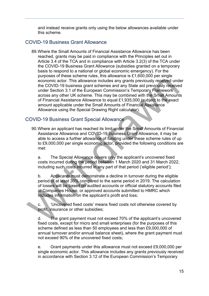and instead receive grants only using the below allowances available under this scheme.

#### <span id="page-14-0"></span>COVID-19 Business Grant Allowance

89.Where the Small Amounts of Financial Assistance Allowance has been reached, grants may be paid in compliance with the Principles set out in Article 3.4 of the TCA and in compliance with Article 3.2(3) of the TCA under the COVID-19 Business Grant Allowance (subsidies granted on a temporary basis to respond to a national or global economic emergency). For the purposes of these scheme rules, this allowance is £1,600,000 per single economic actor. This allowance includes any grants previously received under the COVID-19 business grant schemes and any State aid previously received under Section 3.1 of the European Commission's Temporary Framework across any other UK scheme. This may be combined with the Small Amounts of Financial Assistance Allowance to equal £1,935,000 (subject to the exact amount applicable under the Small Amounts of Financial Assistance Allowance using the Special Drawing Right calculator). process on these based and any state and any state and applicants to the exonomic actor. This allowance includes any grants previously received und<br>the CCVID-19 business grants cheme. This may be combined with the Small Am

#### <span id="page-14-1"></span>COVID-19 Business Grant Special Allowance

90. Where an applicant has reached its limit under the Small Amounts of Financial Assistance Allowance and COVID-19 Business Grant Allowance, it may be able to access a further allowance of funding under these scheme rules of up to £9,000,000 per single economic actor, provided the following conditions are met:

a. The Special Allowance covers only the applicant's uncovered fixed costs incurred during the period between 1 March 2020 and 31 March 2022, including such costs incurred in any part of that period ('eligible period');

b. Applicants must demonstrate a decline in turnover during the eligible period of at least 30% compared to the same period in 2019. The calculation of losses will be based on audited accounts or official statutory accounts filed at Companies House, or approved accounts submitted to HMRC which includes information on the applicant's profit and loss;

c. 'Uncovered fixed costs' means fixed costs not otherwise covered by profit, insurance or other subsidies;

d. The grant payment must not exceed 70% of the applicant's uncovered fixed costs, except for micro and small enterprises (for the purposes of this scheme defined as less than 50 employees and less than £9,000,000 of annual turnover and/or annual balance sheet), where the grant payment must not exceed 90% of the uncovered fixed costs;

e. Grant payments under this allowance must not exceed £9,000,000 per single economic actor. This allowance includes any grants previously received in accordance with Section 3.12 of the European Commission's Temporary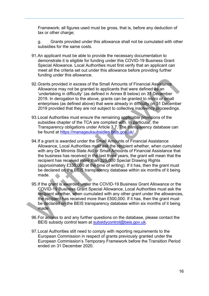Framework; all figures used must be gross, that is, before any deduction of tax or other charge;

g. Grants provided under this allowance shall not be cumulated with other subsidies for the same costs.

- 91.An applicant must be able to provide the necessary documentation to demonstrate it is eligible for funding under this COVID-19 Business Grant Special Allowance. Local Authorities must first verify that an applicant can meet all the criteria set out under this allowance before providing further funding under this allowance.
- 92.Grants provided in excess of the Small Amounts of Financial Assistance Allowance may not be granted to applicants that were defined as an 'undertaking in difficulty' (as defined in Annex B below) on 31 December 2019. In derogation to the above, grants can be granted to micro or small enterprises (as defined above) that were already in difficulty on 31 December 2019 provided that they are not subject to collective insolvency proceedings.
- 93.Local Authorities must ensure the remaining applicable provisions of the subsidies chapter of the TCA are complied with. In particular, the Transparency obligations under Article 3.7. The transparency database can be found at https://manageuksubsidies.beis.gov.uk/.
- 94.If a grant is awarded under the Small Amounts of Financial Assistance Allowance, Local Authorities must ask the recipient whether, when cumulated with any De Minimis State Aid or Small Amounts of Financial Assistance that the business has received in the last three years, the grant will mean that the recipient has received more than 325,000 Special Drawing Rights (approximately £335,000 at the time of writing). If it has, then the grant must be declared on the BEIS transparency database within six months of it being made. 92. Grants provided in excess of the Small Amounts of Financial Assistance<br>Allowance may not be granted to applicants that were defined as an<br>"underlaking in difficulty" (as defined in Amnex B below) on 31 December<br>2019.
	- 95.If the grant is awarded under the COVID-19 Business Grant Allowance or the COVID-19 Business Grant Special Allowance, Local Authorities must ask the recipient whether, when cumulated with any other grant under the allowances, the recipient has received more than £500,000. If it has, then the grant must be declared on the BEIS transparency database within six months of it being made.
	- 96.For access to and any further questions on the database, please contact the BEIS subsidy control team at subsidycontrol@beis.gov.uk.
	- 97.Local Authorities still need to comply with reporting requirements to the European Commission in respect of grants previously granted under the European Commission's Temporary Framework before the Transition Period ended on 31 December 2020.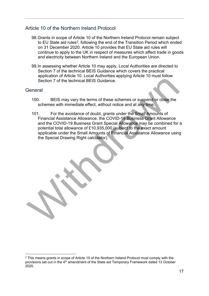#### <span id="page-16-0"></span>Article 10 of the Northern Ireland Protocol

- 98.Grants in scope of Article 10 of the Northern Ireland Protocol remain subject to EU State aid rules<sup>2</sup>, following the end of the Transition Period which ended on 31 December 2020. Article 10 provides that EU State aid rules will continue to apply to the UK in respect of measures which affect trade in goods and electricity between Northern Ireland and the European Union.
- 99.In assessing whether Article 10 may apply, Local Authorities are directed to Section 7 of the technical BEIS Guidance which covers the practical application of Article 10. Local Authorities applying Article 10 must follow Section 7 of the technical BEIS Guidance.

#### <span id="page-16-1"></span>**General**

- 100. BEIS may vary the terms of these schemes or suspend or close the schemes with immediate effect, without notice and at any time.
- 101. For the avoidance of doubt, grants under the Small Amounts of Financial Assistance Allowance, the COVID-19 Business Grant Allowance and the COVID-19 Business Grant Special Allowance may be combined for a potential total allowance of £10,935,000 (subject to the exact amount applicable under the Small Amounts of Financial Assistance Allowance using the Special Drawing Right calculator). Section 7 of the technical BEIS Guidance.<br>
Section 7 of the technical BEIS Guidance.<br>
100. BEIS may vary the terms of these schemes or suspend or close the<br>
schemes with immediate effect, without notice and at any time.<br>
1

<span id="page-16-2"></span><sup>&</sup>lt;sup>2</sup> This means grants in scope of Article 10 of the Northern Ireland Protocol must comply with the provisions set out in the 4<sup>th</sup> amendment of the State aid Temporary Framework dated 13 October 2020.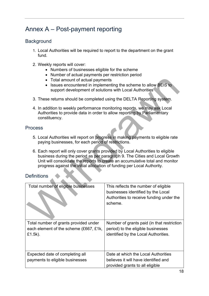## <span id="page-17-0"></span>Annex A – Post-payment reporting

#### <span id="page-17-1"></span>**Background**

- 1. Local Authorities will be required to report to the department on the grant fund.
- 2. Weekly reports will cover:
	- Numbers of businesses eligible for the scheme
	- Number of actual payments per restriction period
	- Total amount of actual payments
	- Issues encountered in implementing the scheme to allow BEIS to support development of solutions with Local Authorities
- 3. These returns should be completed using the DELTA Reporting system.
- 4. In addition to weekly performance monitoring reports, we may ask Local Authorities to provide data in order to allow reporting by Parliamentary constituency.

#### <span id="page-17-2"></span>**Process**

- 5. Local Authorities will report on progress in making payments to eligible rate paying businesses, for each period of restrictions.
- 6. Each report will only cover grants provided by Local Authorities to eligible business during the period as per paragraph 9. The Cities and Local Growth Unit will consolidate the reports to create an accumulative total and monitor progress against the initial allocation of funding per Local Authority.

#### <span id="page-17-3"></span>**Definitions**

| • Total amount of actual payments<br>support development of solutions with Local Authorities                                                                           | Issues encountered in implementing the scheme to allow BEIS to                                                                                              |  |
|------------------------------------------------------------------------------------------------------------------------------------------------------------------------|-------------------------------------------------------------------------------------------------------------------------------------------------------------|--|
| 3. These returns should be completed using the DELTA Reporting system.                                                                                                 |                                                                                                                                                             |  |
| 4. In addition to weekly performance monitoring reports, we may ask Local<br>Authorities to provide data in order to allow reporting by Parliamentary<br>constituency. |                                                                                                                                                             |  |
| <b>Process</b>                                                                                                                                                         |                                                                                                                                                             |  |
| paying businesses, for each period of restrictions.                                                                                                                    | 5. Local Authorities will report on progress in making payments to eligible rate                                                                            |  |
| 6. Each report will only cover grants provided by Local Authorities to eligible<br>progress against the initial allocation of funding per Local Authority.             | business during the period as per paragraph 9. The Cities and Local Growth<br>Unit will consolidate the reports to create an accumulative total and monitor |  |
| <b>Definitions</b>                                                                                                                                                     |                                                                                                                                                             |  |
| Total number of eligible businesses                                                                                                                                    | This reflects the number of eligible<br>businesses identified by the Local<br>Authorities to receive funding under the<br>scheme.                           |  |
| Total number of grants provided under<br>each element of the scheme (£667, £1k,<br>£1.5k).                                                                             | Number of grants paid (in that restriction<br>period) to the eligible businesses<br>identified by the Local Authorities.                                    |  |
| Expected date of completing all<br>payments to eligible businesses                                                                                                     | Date at which the Local Authorities<br>believes it will have identified and<br>provided grants to all eligible                                              |  |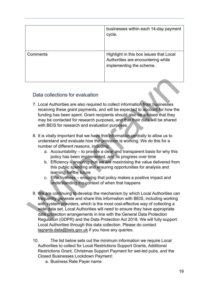|          | businesses within each 14-day payment<br>cycle.                                                           |
|----------|-----------------------------------------------------------------------------------------------------------|
| Comments | Highlight in this box issues that Local<br>Authorities are encountering while<br>implementing the scheme. |

#### <span id="page-18-0"></span>Data collections for evaluation

- 7. Local Authorities are also required to collect information from businesses receiving these grant payments, and will be expected to account for how the funding has been spent. Grant recipients should also be advised that they may be contacted for research purposes, and that their data will be shared with BEIS for research and evaluation purposes.
- 8. It is vitally important that we have this information centrally to allow us to understand and evaluate how the provision is working. We do this for a number of different reasons, including;
	- a. Accountability to provide a clear and transparent basis for why this policy has been implemented, and its progress over time
	- b. Efficiency ensuring that we are maximising the value delivered from this public spending and ensuring opportunities for analysis and learning for the future
	- c. Effectiveness ensuring that policy makes a positive impact and understanding the context of when that happens
- 9. We are continuing to develop the mechanism by which Local Authorities can frequently generate and share this information with BEIS, including working with system providers, which is the most cost-effective way of collecting a wide data set. Local Authorities will need to ensure they have appropriate data protection arrangements in line with the General Data Protection Regulation (GDPR) and the Data Protection Act 2018. We will fully support Local Authorities through this data collection. Please do contact [lagrants.data@beis.gov.uk](mailto:lagrants.data@beis.gov.uk) if you have any queries. Data collections for evaluation<br>
7. Local Authorities are also required to collect information from businesses<br>
receiving these grant payments, and will be expected to account for thow the<br>
funding has been spent. Grant re
	- 10. The list below sets out the minimum information we require Local Authorities to collect for Local Restrictions Support Grants, Additional Restrictions Grant, Christmas Support Payment for wet-led pubs, and the Closed Businesses Lockdown Payment:
		- a. Business Rate Payer name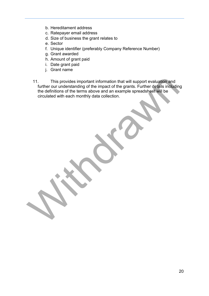- b. Hereditament address
- c. Ratepayer email address
- d. Size of business the grant relates to
- e. Sector
- f. Unique identifier (preferably Company Reference Number)
- g. Grant awarded
- h. Amount of grant paid
- i. Date grant paid
- j. Grant name
- 11. This provides important information that will support evaluation and further our understanding of the impact of the grants. Further details including the definitions of the terms above and an example spreadsheet will be circulated with each monthly data collection. 11. This provides important information that will support evaluation and<br>further our understanding of the impact of the grants. Further details including<br>the definitions of the terms above and an example spreadsheet will b